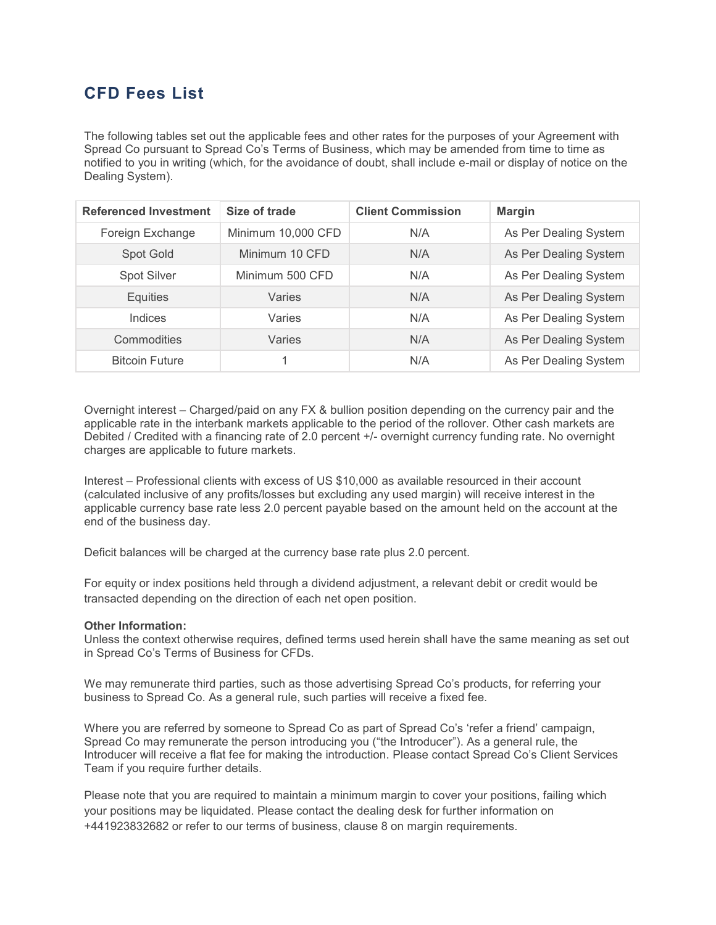## **CFD Fees List**

The following tables set out the applicable fees and other rates for the purposes of your Agreement with Spread Co pursuant to Spread Co's Terms of Business, which may be amended from time to time as notified to you in writing (which, for the avoidance of doubt, shall include e-mail or display of notice on the Dealing System).

| <b>Referenced Investment</b> | Size of trade      | <b>Client Commission</b> | <b>Margin</b>         |
|------------------------------|--------------------|--------------------------|-----------------------|
| Foreign Exchange             | Minimum 10,000 CFD | N/A                      | As Per Dealing System |
| Spot Gold                    | Minimum 10 CFD     | N/A                      | As Per Dealing System |
| <b>Spot Silver</b>           | Minimum 500 CFD    | N/A                      | As Per Dealing System |
| <b>Equities</b>              | Varies             | N/A                      | As Per Dealing System |
| Indices                      | Varies             | N/A                      | As Per Dealing System |
| Commodities                  | Varies             | N/A                      | As Per Dealing System |
| <b>Bitcoin Future</b>        |                    | N/A                      | As Per Dealing System |

Overnight interest – Charged/paid on any FX & bullion position depending on the currency pair and the applicable rate in the interbank markets applicable to the period of the rollover. Other cash markets are Debited / Credited with a financing rate of 2.0 percent +/- overnight currency funding rate. No overnight charges are applicable to future markets.

Interest – Professional clients with excess of US \$10,000 as available resourced in their account (calculated inclusive of any profits/losses but excluding any used margin) will receive interest in the applicable currency base rate less 2.0 percent payable based on the amount held on the account at the end of the business day.

Deficit balances will be charged at the currency base rate plus 2.0 percent.

For equity or index positions held through a dividend adjustment, a relevant debit or credit would be transacted depending on the direction of each net open position.

## **Other Information:**

Unless the context otherwise requires, defined terms used herein shall have the same meaning as set out in Spread Co's Terms of Business for CFDs.

We may remunerate third parties, such as those advertising Spread Co's products, for referring your business to Spread Co. As a general rule, such parties will receive a fixed fee.

Where you are referred by someone to Spread Co as part of Spread Co's 'refer a friend' campaign, Spread Co may remunerate the person introducing you ("the Introducer"). As a general rule, the Introducer will receive a flat fee for making the introduction. Please contact Spread Co's Client Services Team if you require further details.

Please note that you are required to maintain a minimum margin to cover your positions, failing which your positions may be liquidated. Please contact the dealing desk for further information on +441923832682 or refer to our terms of business, clause 8 on margin requirements.